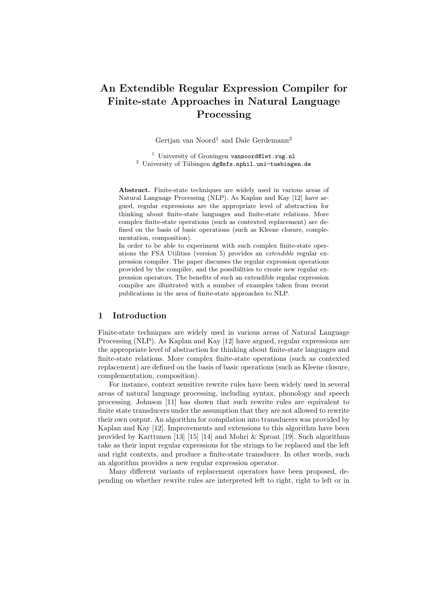# An Extendible Regular Expression Compiler for Finite-state Approaches in Natural Language Processing

Gertjan van Noord<sup>1</sup> and Dale Gerdemann<sup>2</sup>

<sup>1</sup> University of Groningen vannoord@let.rug.nl <sup>2</sup> University of Tübingen  $dg$ gsfs.nphil.uni-tuebingen.de

Abstract. Finite-state techniques are widely used in various areas of Natural Language Processing (NLP). As Kaplan and Kay [12] have argued, regular expressions are the appropriate level of abstraction for thinking about finite-state languages and finite-state relations. More complex finite-state operations (such as contexted replacement) are defined on the basis of basic operations (such as Kleene closure, complementation, composition).

In order to be able to experiment with such complex finite-state operations the FSA Utilities (version 5) provides an extendible regular expression compiler. The paper discusses the regular expression operations provided by the compiler, and the possibilities to create new regular expression operators. The benefits of such an extendible regular expression compiler are illustrated with a number of examples taken from recent publications in the area of finite-state approaches to NLP.

## 1 Introduction

Finite-state techniques are widely used in various areas of Natural Language Processing (NLP). As Kaplan and Kay [12] have argued, regular expressions are the appropriate level of abstraction for thinking about finite-state languages and finite-state relations. More complex finite-state operations (such as contexted replacement) are defined on the basis of basic operations (such as Kleene closure, complementation, composition).

For instance, context sensitive rewrite rules have been widely used in several areas of natural language processing, including syntax, phonology and speech processing. Johnson [11] has shown that such rewrite rules are equivalent to finite state transducers under the assumption that they are not allowed to rewrite their own output. An algorithm for compilation into transducers was provided by Kaplan and Kay [12]. Improvements and extensions to this algorithm have been provided by Karttunen [13] [15] [14] and Mohri & Sproat [19]. Such algorithms take as their input regular expressions for the strings to be replaced and the left and right contexts, and produce a finite-state transducer. In other words, such an algorithm provides a new regular expression operator.

Many different variants of replacement operators have been proposed, depending on whether rewrite rules are interpreted left to right, right to left or in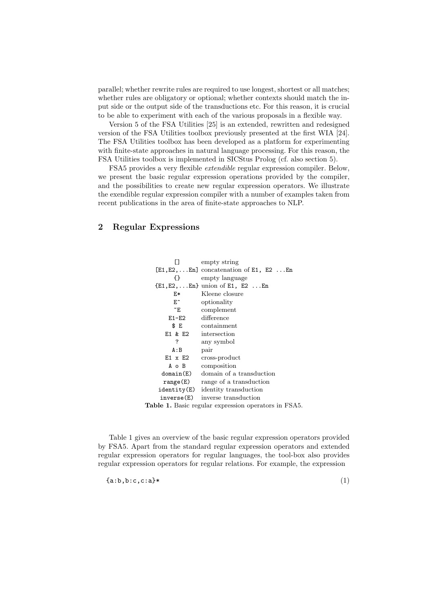parallel; whether rewrite rules are required to use longest, shortest or all matches; whether rules are obligatory or optional; whether contexts should match the input side or the output side of the transductions etc. For this reason, it is crucial to be able to experiment with each of the various proposals in a flexible way.

Version 5 of the FSA Utilities [25] is an extended, rewritten and redesigned version of the FSA Utilities toolbox previously presented at the first WIA [24]. The FSA Utilities toolbox has been developed as a platform for experimenting with finite-state approaches in natural language processing. For this reason, the FSA Utilities toolbox is implemented in SICStus Prolog (cf. also section 5).

FSA5 provides a very flexible extendible regular expression compiler. Below, we present the basic regular expression operations provided by the compiler, and the possibilities to create new regular expression operators. We illustrate the exendible regular expression compiler with a number of examples taken from recent publications in the area of finite-state approaches to NLP.

# 2 Regular Expressions

| П          | empty string                                                |  |  |  |  |
|------------|-------------------------------------------------------------|--|--|--|--|
|            | $[E1, E2, \ldots En]$ concatenation of E1, E2 En            |  |  |  |  |
| {}         | empty language                                              |  |  |  |  |
|            | $\{E1, E2, \ldots En\}$ union of E1, E2 $\ldots$ En         |  |  |  |  |
| E*         | Kleene closure                                              |  |  |  |  |
| E^         | optionality                                                 |  |  |  |  |
| ~Έ         | complement                                                  |  |  |  |  |
| E1-E2      | difference                                                  |  |  |  |  |
| \$ E       | $\rm{containment}$                                          |  |  |  |  |
|            | E1 $\&$ E2 intersection                                     |  |  |  |  |
| ?          | any symbol                                                  |  |  |  |  |
| A:B        | pair                                                        |  |  |  |  |
| E1 x E2    | cross-product                                               |  |  |  |  |
| A o B      | composition                                                 |  |  |  |  |
| domain(E)  | domain of a transduction                                    |  |  |  |  |
| range(E)   | range of a transduction                                     |  |  |  |  |
|            | $identity(E)$ identity transduction                         |  |  |  |  |
| inverse(E) | inverse transduction                                        |  |  |  |  |
|            | <b>Table 1.</b> Basic regular expression operators in FSA5. |  |  |  |  |

Table 1 gives an overview of the basic regular expression operators provided by FSA5. Apart from the standard regular expression operators and extended regular expression operators for regular languages, the tool-box also provides regular expression operators for regular relations. For example, the expression

 $\{a:b,b:c,c:a\}$ \* (1)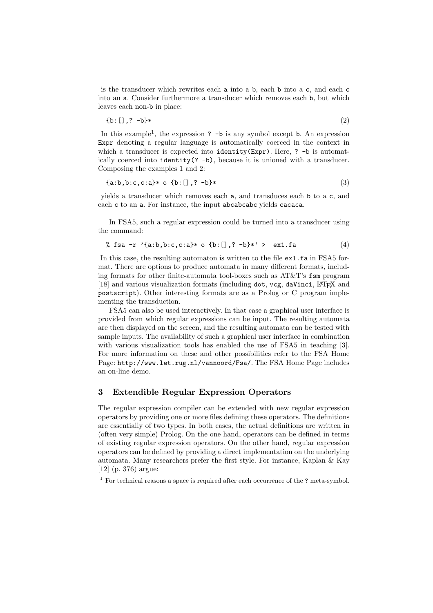is the transducer which rewrites each a into a b, each b into a c, and each c into an a. Consider furthermore a transducer which removes each b, but which leaves each non-b in place:

$$
\{b: [] , ? -b\}*
$$
 (2)

In this example<sup>1</sup>, the expression ? -b is any symbol except b. An expression Expr denoting a regular language is automatically coerced in the context in which a transducer is expected into identity(Expr). Here, ? -b is automatically coerced into identity(? -b), because it is unioned with a transducer. Composing the examples 1 and 2:

$$
\{a:b,b:c,c:a\} * \text{ o } \{b:[], ? \text{ } -b\} *
$$
 (3)

yields a transducer which removes each a, and transduces each b to a c, and each c to an a. For instance, the input abcabcabc yields cacaca.

In FSA5, such a regular expression could be turned into a transducer using the command:

$$
% fsa -r 'a:b,b:c,c: a]* o \{b:[], ? -b]*' > ex1.fa
$$
 (4)

In this case, the resulting automaton is written to the file  $ex1.fa$  in FSA5 format. There are options to produce automata in many different formats, including formats for other finite-automata tool-boxes such as AT&T's fsm program [18] and various visualization formats (including dot, vcg, daVinci, L<sup>A</sup>TEX and postscript). Other interesting formats are as a Prolog or C program implementing the transduction.

FSA5 can also be used interactively. In that case a graphical user interface is provided from which regular expressions can be input. The resulting automata are then displayed on the screen, and the resulting automata can be tested with sample inputs. The availability of such a graphical user interface in combination with various visualization tools has enabled the use of FSA5 in teaching [3]. For more information on these and other possibilities refer to the FSA Home Page: http://www.let.rug.nl/vannoord/Fsa/. The FSA Home Page includes an on-line demo.

## 3 Extendible Regular Expression Operators

The regular expression compiler can be extended with new regular expression operators by providing one or more files defining these operators. The definitions are essentially of two types. In both cases, the actual definitions are written in (often very simple) Prolog. On the one hand, operators can be defined in terms of existing regular expression operators. On the other hand, regular expression operators can be defined by providing a direct implementation on the underlying automata. Many researchers prefer the first style. For instance, Kaplan & Kay [12] (p. 376) argue:

<sup>&</sup>lt;sup>1</sup> For technical reasons a space is required after each occurrence of the ? meta-symbol.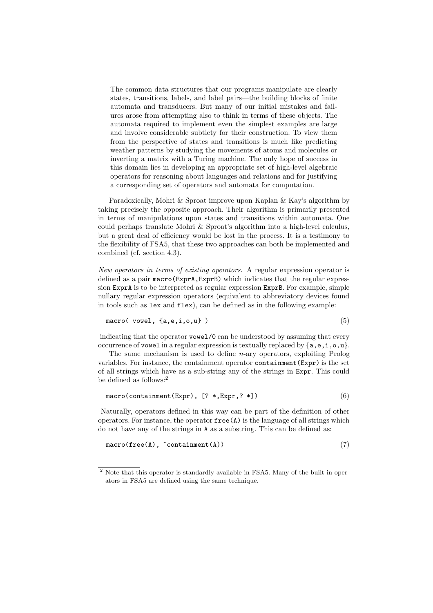The common data structures that our programs manipulate are clearly states, transitions, labels, and label pairs—the building blocks of finite automata and transducers. But many of our initial mistakes and failures arose from attempting also to think in terms of these objects. The automata required to implement even the simplest examples are large and involve considerable subtlety for their construction. To view them from the perspective of states and transitions is much like predicting weather patterns by studying the movements of atoms and molecules or inverting a matrix with a Turing machine. The only hope of success in this domain lies in developing an appropriate set of high-level algebraic operators for reasoning about languages and relations and for justifying a corresponding set of operators and automata for computation.

Paradoxically, Mohri & Sproat improve upon Kaplan & Kay's algorithm by taking precisely the opposite approach. Their algorithm is primarily presented in terms of manipulations upon states and transitions within automata. One could perhaps translate Mohri & Sproat's algorithm into a high-level calculus, but a great deal of efficiency would be lost in the process. It is a testimony to the flexibility of FSA5, that these two approaches can both be implemented and combined (cf. section 4.3).

New operators in terms of existing operators. A regular expression operator is defined as a pair macro(ExprA,ExprB) which indicates that the regular expression ExprA is to be interpreted as regular expression ExprB. For example, simple nullary regular expression operators (equivalent to abbreviatory devices found in tools such as lex and flex), can be defined as in the following example:

$$
\mathtt{macro}(\mathtt{ vowel}, \mathtt{\{a,e,i,o,u\}})
$$
 (5)

indicating that the operator vowel/0 can be understood by assuming that every occurrence of vowel in a regular expression is textually replaced by  $\{a, e, i, o, u\}$ .

The same mechanism is used to define n-ary operators, exploiting Prolog variables. For instance, the containment operator containment(Expr) is the set of all strings which have as a sub-string any of the strings in Expr. This could be defined as follows:<sup>2</sup>

$$
\text{macro}(\text{containment}(\text{Expr}), [\text{? *,Expr,? *}]) \tag{6}
$$

Naturally, operators defined in this way can be part of the definition of other operators. For instance, the operator  $free(A)$  is the language of all strings which do not have any of the strings in A as a substring. This can be defined as:

$$
\text{macro}(\text{free}(A), \text{ "containment}(A)) \tag{7}
$$

<sup>&</sup>lt;sup>2</sup> Note that this operator is standardly available in FSA5. Many of the built-in operators in FSA5 are defined using the same technique.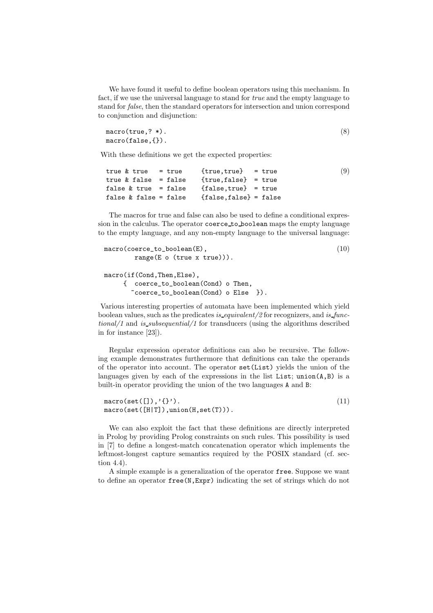We have found it useful to define boolean operators using this mechanism. In fact, if we use the universal language to stand for true and the empty language to stand for false, then the standard operators for intersection and union correspond to conjunction and disjunction:

```
macro(true,? *).
macro(false,{}).
                                                                  (8)
```
With these definitions we get the expected properties:

```
true \& true = true {true, true} = true
true & false = false {true, false} = true
false & true = false {false, true} = true
false \& false = false \{false, false\} = false
                                                          (9)
```
The macros for true and false can also be used to define a conditional expression in the calculus. The operator coerce to boolean maps the empty language to the empty language, and any non-empty language to the universal language:

```
macro(coerce_to_boolean(E),
        range(E o (true x true))).
macro(if(Cond,Then,Else),
     { coerce_to_boolean(Cond) o Then,
       ~coerce_to_boolean(Cond) o Else }).
                                                              (10)
```
Various interesting properties of automata have been implemented which yield boolean values, such as the predicates is equivalent/2 for recognizers, and is functional/1 and is subsequential/1 for transducers (using the algorithms described in for instance [23]).

Regular expression operator definitions can also be recursive. The following example demonstrates furthermore that definitions can take the operands of the operator into account. The operator set(List) yields the union of the languages given by each of the expressions in the list List;  $union(A, B)$  is a built-in operator providing the union of the two languages A and B:

 $macro(set([]), '{}'{}'$ ). macro(set([H|T]),union(H,set(T))). (11)

We can also exploit the fact that these definitions are directly interpreted in Prolog by providing Prolog constraints on such rules. This possibility is used in [7] to define a longest-match concatenation operator which implements the leftmost-longest capture semantics required by the POSIX standard (cf. section 4.4).

A simple example is a generalization of the operator free. Suppose we want to define an operator free(N,Expr) indicating the set of strings which do not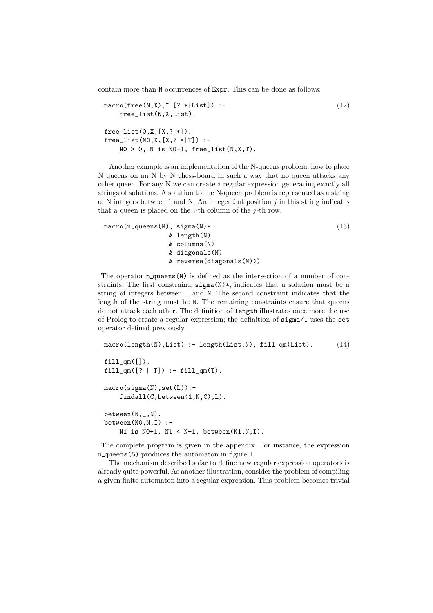contain more than N occurrences of Expr. This can be done as follows:

```
macro(free(N,X)," [? *|List]) :-
    free_list(N,X,List).
free\_list(0, X, [X, ? *]).
free\_list(NO, X, [X, ? * | T]) :-
    NO > 0, N is NO-1, free_list(N, X, T).
                                                                    (12)
```
Another example is an implementation of the N-queens problem: how to place N queens on an N by N chess-board in such a way that no queen attacks any other queen. For any N we can create a regular expression generating exactly all strings of solutions. A solution to the N-queen problem is represented as a string of N integers between 1 and N. An integer  $i$  at position  $j$  in this string indicates that a queen is placed on the  $i$ -th column of the  $j$ -th row.

```
macro(n_queens(N), sigma(N)*
                 & length(N)
                 & columns(N)
                 & diagonals(N)
                 & reverse(diagonals(N)))
                                                                (13)
```
The operator **n** queens(N) is defined as the intersection of a number of constraints. The first constraint,  $signa(N)$ , indicates that a solution must be a string of integers between 1 and N. The second constraint indicates that the length of the string must be N. The remaining constraints ensure that queens do not attack each other. The definition of length illustrates once more the use of Prolog to create a regular expression; the definition of sigma/1 uses the set operator defined previously.

```
macro(length(N), List) :- length(List, N), fill_qm(List).
fill\_qm([]).
fill\_qm([? | T]) :- fill\_qm(T).macro(sigma(N),set(L)):-
    findall(C,between(1,N,C),L).
between(N, _-, N).
between(NO, N, I) :-
    N1 is N0+1, N1 < N+1, between(N1, N, I).
                                                                  (14)
```
The complete program is given in the appendix. For instance, the expression n queens(5) produces the automaton in figure 1.

The mechanism described sofar to define new regular expression operators is already quite powerful. As another illustration, consider the problem of compiling a given finite automaton into a regular expression. This problem becomes trivial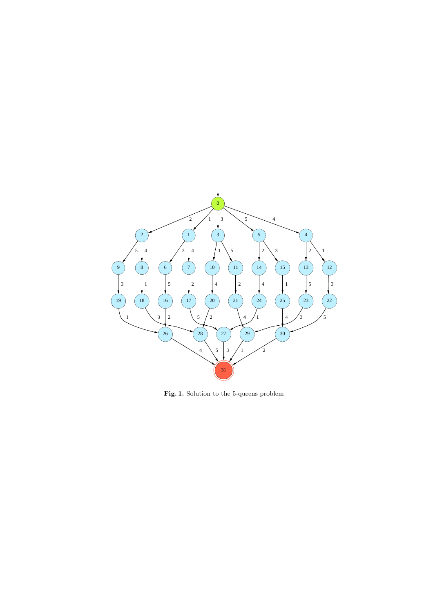

Fig. 1. Solution to the 5-queens problem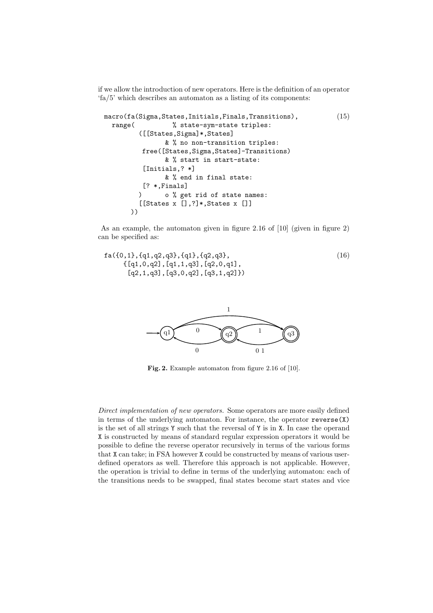if we allow the introduction of new operators. Here is the definition of an operator 'fa/5' which describes an automaton as a listing of its components:

```
macro(fa(Sigma,States,Initials,Finals,Transitions),
  range(

\% state-sym-state triples:
         ([[States,Sigma]*,States]
                & % no non-transition triples:
          free([States,Sigma,States]-Transitions)
                & % start in start-state:
          [Initials,? *]
                & % end in final state:
          [? *,Finals]
         ) o % get rid of state names:
         [[States x [],?]*,States x []]
      ))
                                                             (15)
```
As an example, the automaton given in figure 2.16 of [10] (given in figure 2) can be specified as:

```
fa({0,1},{q1,q2,q3},{q1},{q2,q3},
     {[q1,0,q2],[q1,1,q3],[q2,0,q1],
      [q2,1,q3], [q3,0,q2], [q3,1,q2])
                                                               (16)
```


Fig. 2. Example automaton from figure 2.16 of [10].

Direct implementation of new operators. Some operators are more easily defined in terms of the underlying automaton. For instance, the operator reverse(X) is the set of all strings Y such that the reversal of Y is in X. In case the operand X is constructed by means of standard regular expression operators it would be possible to define the reverse operator recursively in terms of the various forms that X can take; in FSA however X could be constructed by means of various userdefined operators as well. Therefore this approach is not applicable. However, the operation is trivial to define in terms of the underlying automaton: each of the transitions needs to be swapped, final states become start states and vice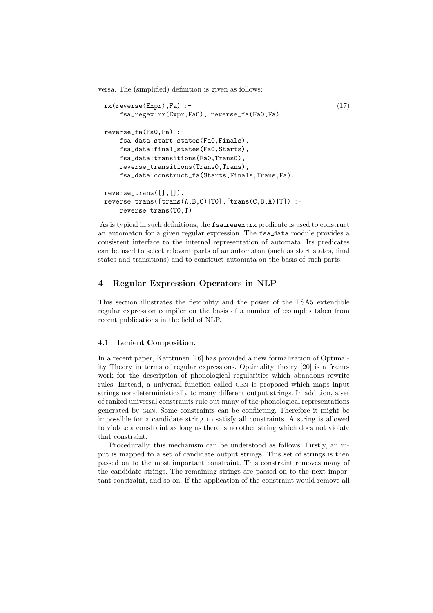versa. The (simplified) definition is given as follows:

```
rx(reverse(Expr),Fa) :-
    fsa_regex:rx(Expr,Fa0), reverse_fa(Fa0,Fa).
reverse_fa(Fa0,Fa) :-
    fsa_data:start_states(Fa0,Finals),
    fsa_data:final_states(Fa0,Starts),
    fsa_data:transitions(Fa0,Trans0),
    reverse_transitions(Trans0,Trans),
    fsa_data:construct_fa(Starts,Finals,Trans,Fa).
reverse_trans([],[]).
reverse\_trans([trans(A,B,C)|T0], [trans(C,B,A)|T]):
    reverse_trans(T0,T).
                                                              (17)
```
As is typical in such definitions, the fsa regex:rx predicate is used to construct an automaton for a given regular expression. The fsa data module provides a consistent interface to the internal representation of automata. Its predicates can be used to select relevant parts of an automaton (such as start states, final states and transitions) and to construct automata on the basis of such parts.

# 4 Regular Expression Operators in NLP

This section illustrates the flexibility and the power of the FSA5 extendible regular expression compiler on the basis of a number of examples taken from recent publications in the field of NLP.

#### 4.1 Lenient Composition.

In a recent paper, Karttunen [16] has provided a new formalization of Optimality Theory in terms of regular expressions. Optimality theory [20] is a framework for the description of phonological regularities which abandons rewrite rules. Instead, a universal function called gen is proposed which maps input strings non-deterministically to many different output strings. In addition, a set of ranked universal constraints rule out many of the phonological representations generated by gen. Some constraints can be conflicting. Therefore it might be impossible for a candidate string to satisfy all constraints. A string is allowed to violate a constraint as long as there is no other string which does not violate that constraint.

Procedurally, this mechanism can be understood as follows. Firstly, an input is mapped to a set of candidate output strings. This set of strings is then passed on to the most important constraint. This constraint removes many of the candidate strings. The remaining strings are passed on to the next important constraint, and so on. If the application of the constraint would remove all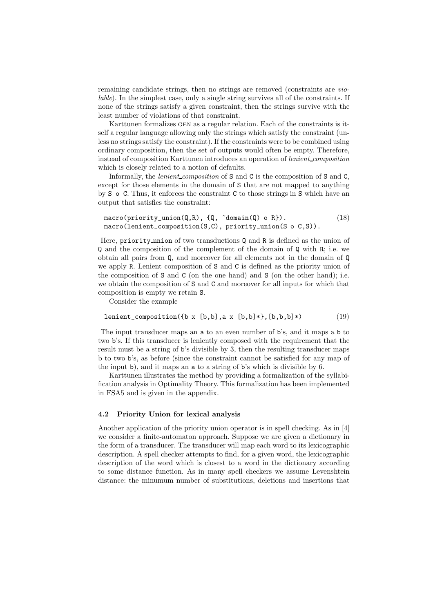remaining candidate strings, then no strings are removed (constraints are violable). In the simplest case, only a single string survives all of the constraints. If none of the strings satisfy a given constraint, then the strings survive with the least number of violations of that constraint.

Karttunen formalizes gen as a regular relation. Each of the constraints is itself a regular language allowing only the strings which satisfy the constraint (unless no strings satisfy the constraint). If the constraints were to be combined using ordinary composition, then the set of outputs would often be empty. Therefore, instead of composition Karttunen introduces an operation of lenient composition which is closely related to a notion of defaults.

Informally, the *lenient-composition* of  $S$  and  $C$  is the composition of  $S$  and  $C$ , except for those elements in the domain of S that are not mapped to anything by S o C. Thus, it enforces the constraint C to those strings in S which have an output that satisfies the constraint:

```
macro(priority\_union(Q,R), \{Q, "domain(Q) o R\}).macro(lenient_composition(S,C), priority_union(S o C,S)).
                                                                (18)
```
Here, priority union of two transductions Q and R is defined as the union of Q and the composition of the complement of the domain of Q with R; i.e. we obtain all pairs from Q, and moreover for all elements not in the domain of Q we apply R. Lenient composition of S and C is defined as the priority union of the composition of  $S$  and  $C$  (on the one hand) and  $S$  (on the other hand); i.e. we obtain the composition of S and C and moreover for all inputs for which that composition is empty we retain S.

Consider the example

$$
lenient\_composition({b x [b,b], a x [b,b]*}, [b,b,b]*)
$$
 (19)

The input transducer maps an a to an even number of b's, and it maps a b to two b's. If this transducer is leniently composed with the requirement that the result must be a string of b's divisible by 3, then the resulting transducer maps b to two b's, as before (since the constraint cannot be satisfied for any map of the input b), and it maps an a to a string of b's which is divisible by 6.

Karttunen illustrates the method by providing a formalization of the syllabification analysis in Optimality Theory. This formalization has been implemented in FSA5 and is given in the appendix.

## 4.2 Priority Union for lexical analysis

Another application of the priority union operator is in spell checking. As in [4] we consider a finite-automaton approach. Suppose we are given a dictionary in the form of a transducer. The transducer will map each word to its lexicographic description. A spell checker attempts to find, for a given word, the lexicographic description of the word which is closest to a word in the dictionary according to some distance function. As in many spell checkers we assume Levenshtein distance: the minumum number of substitutions, deletions and insertions that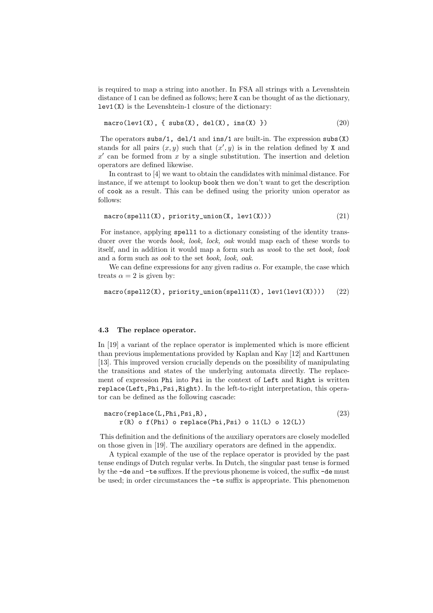is required to map a string into another. In FSA all strings with a Levenshtein distance of 1 can be defined as follows; here X can be thought of as the dictionary,  $lev1(X)$  is the Levenshtein-1 closure of the dictionary:

$$
\text{macro}(lev1(X), \{ subs(X), del(X), ins(X) \})
$$
 (20)

The operators subs/1, del/1 and ins/1 are built-in. The expression subs(X) stands for all pairs  $(x, y)$  such that  $(x', y)$  is in the relation defined by X and  $x'$  can be formed from x by a single substitution. The insertion and deletion operators are defined likewise.

In contrast to [4] we want to obtain the candidates with minimal distance. For instance, if we attempt to lookup book then we don't want to get the description of cook as a result. This can be defined using the priority union operator as follows:

$$
\text{macro(spel11(X), priority\_union(X, lev1(X)))} \tag{21}
$$

For instance, applying spell1 to a dictionary consisting of the identity transducer over the words *book, look, lock, oak* would map each of these words to itself, and in addition it would map a form such as wook to the set book, look and a form such as ook to the set book, look, oak.

We can define expressions for any given radius  $\alpha$ . For example, the case which treats  $\alpha = 2$  is given by:

```
macro(spel12(X), priority\_union(spel11(X), lev1(lev1(X)))) (22)
```
#### 4.3 The replace operator.

In [19] a variant of the replace operator is implemented which is more efficient than previous implementations provided by Kaplan and Kay [12] and Karttunen [13]. This improved version crucially depends on the possibility of manipulating the transitions and states of the underlying automata directly. The replacement of expression Phi into Psi in the context of Left and Right is written replace(Left,Phi,Psi,Right). In the left-to-right interpretation, this operator can be defined as the following cascade:

```
macro(replace(L,Phi,Psi,R),
    r(R) o f(Phi) o replace(Phi,Psi) o l1(L) o l2(L))
                                                               (23)
```
This definition and the definitions of the auxiliary operators are closely modelled on those given in [19]. The auxiliary operators are defined in the appendix.

A typical example of the use of the replace operator is provided by the past tense endings of Dutch regular verbs. In Dutch, the singular past tense is formed by the -de and -te suffixes. If the previous phoneme is voiced, the suffix -de must be used; in order circumstances the -te suffix is appropriate. This phenomenon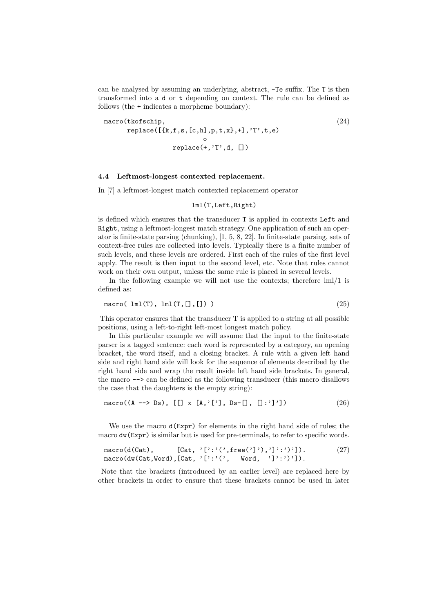can be analysed by assuming an underlying, abstract, -Te suffix. The T is then transformed into a d or t depending on context. The rule can be defined as follows (the + indicates a morpheme boundary):

macro(tkofschip,  $replace([{k,f,s,[c,h],p,t,x],+]$ ,'T',t,e) o replace(+,'T',d, []) (24)

#### 4.4 Leftmost-longest contexted replacement.

In [7] a leftmost-longest match contexted replacement operator

#### lml(T,Left,Right)

is defined which ensures that the transducer T is applied in contexts Left and Right, using a leftmost-longest match strategy. One application of such an operator is finite-state parsing (chunking), [1, 5, 8, 22]. In finite-state parsing, sets of context-free rules are collected into levels. Typically there is a finite number of such levels, and these levels are ordered. First each of the rules of the first level apply. The result is then input to the second level, etc. Note that rules cannot work on their own output, unless the same rule is placed in several levels.

In the following example we will not use the contexts; therefore lml/1 is defined as:

$$
\text{macro}(\text{lml}(T), \text{lml}(T, [] , []))
$$
\n
$$
(25)
$$

This operator ensures that the transducer T is applied to a string at all possible positions, using a left-to-right left-most longest match policy.

In this particular example we will assume that the input to the finite-state parser is a tagged sentence: each word is represented by a category, an opening bracket, the word itself, and a closing bracket. A rule with a given left hand side and right hand side will look for the sequence of elements described by the right hand side and wrap the result inside left hand side brackets. In general, the macro --> can be defined as the following transducer (this macro disallows the case that the daughters is the empty string):

$$
\text{macro}((A \dashrightarrow \text{Ds}), [[] x [A,'['], Ds-[], []:']') \tag{26}
$$

We use the macro  $d(\text{Expr})$  for elements in the right hand side of rules; the macro dw(Expr) is similar but is used for pre-terminals, to refer to specific words.

| $macro(d(Cat)$ ,                                    |  | $[Cat, '['::'(', free(']'); '']':')']$ . | (27) |
|-----------------------------------------------------|--|------------------------------------------|------|
| macro(dw(Cat,Word), [Cat, '[':'(', Word, ']':')']). |  |                                          |      |

Note that the brackets (introduced by an earlier level) are replaced here by other brackets in order to ensure that these brackets cannot be used in later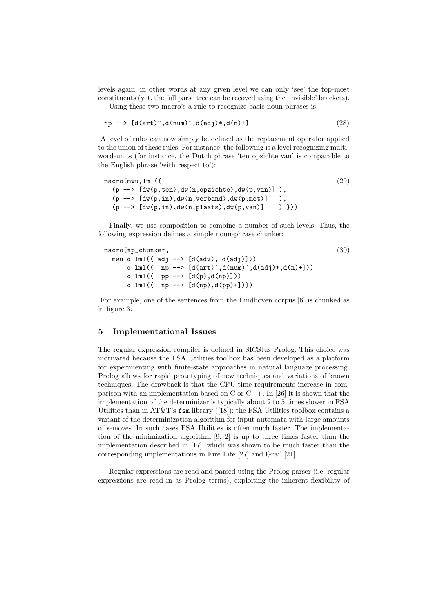levels again; in other words at any given level we can only 'see' the top-most constituents (yet, the full parse tree can be recoved using the 'invisible' brackets). Using these two macro's a rule to recognize basic noun phrases is:

$$
np \text{ --> } [d(art)^{\hat{ }} , d(num)^{\hat{ }} , d(adj)*, d(n)+]
$$
\n
$$
(28)
$$

A level of rules can now simply be defined as the replacement operator applied to the union of these rules. For instance, the following is a level recognizing multiword-units (for instance, the Dutch phrase 'ten opzichte van' is comparable to the English phrase 'with respect to'):

```
macro(mwu,lml({
  (p \rightarrow\text{[dw(p,ten),dw(n,opzichte),dw(p,van)]}),
  (p \rightarrow > [dw(p, in), dw(n, verband), dw(p, met))]),
  (p \rightarrow \lceil dw(p,in),dw(n,plaats),dw(p,van)] ) }))
                                                                             (29)
```
Finally, we use composition to combine a number of such levels. Thus, the following expression defines a simple noun-phrase chunker:

```
macro(np_chunker,
  mwu o lml((adj \rightarrow) [d(adv), d(adj)]))o lml(( np --> [d(art)^, d(num)^, d(adj)*, d(n)+]))o lml(( pp --> [d(p), d(np)]))o lml(( np --> [d(np), d(pp)+]))(30)
```
For example, one of the sentences from the Eindhoven corpus [6] is chunked as in figure 3.

## 5 Implementational Issues

The regular expression compiler is defined in SICStus Prolog. This choice was motivated because the FSA Utilities toolbox has been developed as a platform for experimenting with finite-state approaches in natural language processing. Prolog allows for rapid prototyping of new techniques and variations of known techniques. The drawback is that the CPU-time requirements increase in comparison with an implementation based on C or  $C_{++}$ . In [26] it is shown that the implementation of the determinizer is typically about 2 to 5 times slower in FSA Utilities than in AT&T's  $fsm$  library ([18]); the FSA Utilities toolbox contains a variant of the determinization algorithm for input automata with large amounts of  $\epsilon$ -moves. In such cases FSA Utilities is often much faster. The implementation of the minimization algorithm [9, 2] is up to three times faster than the implementation described in [17], which was shown to be much faster than the corresponding implementations in Fire Lite [27] and Grail [21].

Regular expressions are read and parsed using the Prolog parser (i.e. regular expressions are read in as Prolog terms), exploiting the inherent flexibility of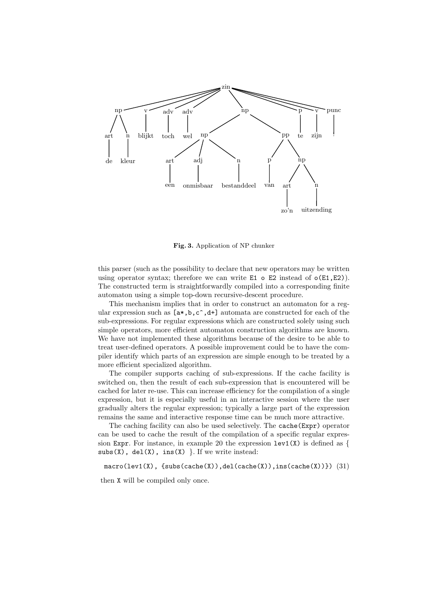

Fig. 3. Application of NP chunker

this parser (such as the possibility to declare that new operators may be written using operator syntax; therefore we can write  $E1 \circ E2$  instead of  $o(E1, E2)$ ). The constructed term is straightforwardly compiled into a corresponding finite automaton using a simple top-down recursive-descent procedure.

This mechanism implies that in order to construct an automaton for a regular expression such as  $[a*,b,c^{\text{-}},d^{\text{+}}]$  automata are constructed for each of the sub-expressions. For regular expressions which are constructed solely using such simple operators, more efficient automaton construction algorithms are known. We have not implemented these algorithms because of the desire to be able to treat user-defined operators. A possible improvement could be to have the compiler identify which parts of an expression are simple enough to be treated by a more efficient specialized algorithm.

The compiler supports caching of sub-expressions. If the cache facility is switched on, then the result of each sub-expression that is encountered will be cached for later re-use. This can increase efficiency for the compilation of a single expression, but it is especially useful in an interactive session where the user gradually alters the regular expression; typically a large part of the expression remains the same and interactive response time can be much more attractive.

The caching facility can also be used selectively. The cache(Expr) operator can be used to cache the result of the compilation of a specific regular expression Expr. For instance, in example 20 the expression  $lev1(X)$  is defined as {  $subs(X)$ ,  $del(X)$ ,  $ins(X)$  }. If we write instead:

 $macro(lev1(X), \{subs(cache(X)), del(cache(X)), ins(cache(X))\})$  (31)

then X will be compiled only once.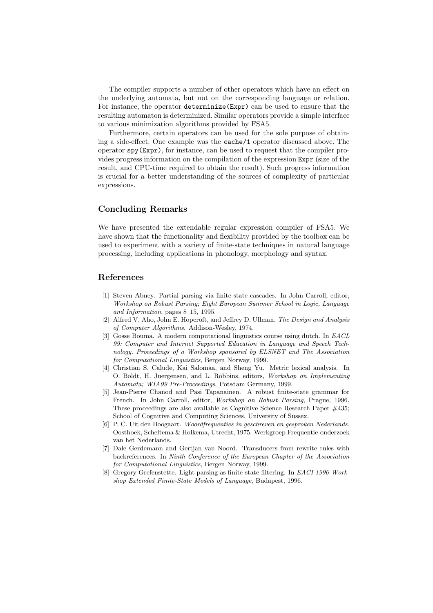The compiler supports a number of other operators which have an effect on the underlying automata, but not on the corresponding language or relation. For instance, the operator determinize(Expr) can be used to ensure that the resulting automaton is determinized. Similar operators provide a simple interface to various minimization algorithms provided by FSA5.

Furthermore, certain operators can be used for the sole purpose of obtaining a side-effect. One example was the cache/1 operator discussed above. The operator spy(Expr), for instance, can be used to request that the compiler provides progress information on the compilation of the expression Expr (size of the result, and CPU-time required to obtain the result). Such progress information is crucial for a better understanding of the sources of complexity of particular expressions.

# Concluding Remarks

We have presented the extendable regular expression compiler of FSA5. We have shown that the functionality and flexibility provided by the toolbox can be used to experiment with a variety of finite-state techniques in natural language processing, including applications in phonology, morphology and syntax.

## References

- [1] Steven Abney. Partial parsing via finite-state cascades. In John Carroll, editor, Workshop on Robust Parsing; Eight European Summer School in Logic, Language and Information, pages 8–15, 1995.
- [2] Alfred V. Aho, John E. Hopcroft, and Jeffrey D. Ullman. The Design and Analysis of Computer Algorithms. Addison-Wesley, 1974.
- [3] Gosse Bouma. A modern computational linguistics course using dutch. In EACL 99: Computer and Internet Supported Education in Language and Speech Technology. Proceedings of a Workshop sponsored by ELSNET and The Association for Computational Linguistics, Bergen Norway, 1999.
- [4] Christian S. Calude, Kai Salomaa, and Sheng Yu. Metric lexical analysis. In O. Boldt, H. Juergensen, and L. Robbins, editors, Workshop on Implementing Automata; WIA99 Pre-Proceedings, Potsdam Germany, 1999.
- [5] Jean-Pierre Chanod and Pasi Tapanainen. A robust finite-state grammar for French. In John Carroll, editor, Workshop on Robust Parsing, Prague, 1996. These proceedings are also available as Cognitive Science Research Paper #435; School of Cognitive and Computing Sciences, University of Sussex.
- [6] P. C. Uit den Boogaart. Woordfrequenties in geschreven en gesproken Nederlands. Oosthoek, Scheltema & Holkema, Utrecht, 1975. Werkgroep Frequentie-onderzoek van het Nederlands.
- [7] Dale Gerdemann and Gertjan van Noord. Transducers from rewrite rules with backreferences. In Ninth Conference of the European Chapter of the Association for Computational Linguistics, Bergen Norway, 1999.
- [8] Gregory Grefenstette. Light parsing as finite-state filtering. In EACI 1996 Workshop Extended Finite-State Models of Language, Budapest, 1996.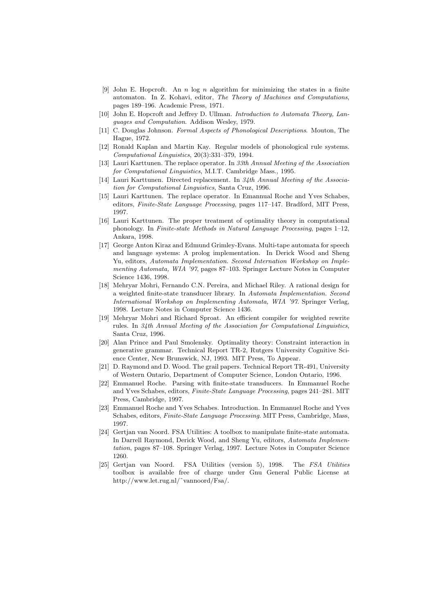- [9] John E. Hopcroft. An n log n algorithm for minimizing the states in a finite automaton. In Z. Kohavi, editor, The Theory of Machines and Computations, pages 189–196. Academic Press, 1971.
- [10] John E. Hopcroft and Jeffrey D. Ullman. Introduction to Automata Theory, Languages and Computation. Addison Wesley, 1979.
- [11] C. Douglas Johnson. Formal Aspects of Phonological Descriptions. Mouton, The Hague, 1972.
- [12] Ronald Kaplan and Martin Kay. Regular models of phonological rule systems. Computational Linguistics, 20(3):331–379, 1994.
- [13] Lauri Karttunen. The replace operator. In 33th Annual Meeting of the Association for Computational Linguistics, M.I.T. Cambridge Mass., 1995.
- [14] Lauri Karttunen. Directed replacement. In 34th Annual Meeting of the Association for Computational Linguistics, Santa Cruz, 1996.
- [15] Lauri Karttunen. The replace operator. In Emannual Roche and Yves Schabes, editors, Finite-State Language Processing, pages 117–147. Bradford, MIT Press, 1997.
- [16] Lauri Karttunen. The proper treatment of optimality theory in computational phonology. In Finite-state Methods in Natural Language Processing, pages 1–12, Ankara, 1998.
- [17] George Anton Kiraz and Edmund Grimley-Evans. Multi-tape automata for speech and language systems: A prolog implementation. In Derick Wood and Sheng Yu, editors, Automata Implementation. Second Internation Workshop on Implementing Automata, WIA '97, pages 87–103. Springer Lecture Notes in Computer Science 1436, 1998.
- [18] Mehryar Mohri, Fernando C.N. Pereira, and Michael Riley. A rational design for a weighted finite-state transducer library. In Automata Implementation. Second International Workshop on Implementing Automata, WIA '97. Springer Verlag, 1998. Lecture Notes in Computer Science 1436.
- [19] Mehryar Mohri and Richard Sproat. An efficient compiler for weighted rewrite rules. In 34th Annual Meeting of the Association for Computational Linguistics, Santa Cruz, 1996.
- [20] Alan Prince and Paul Smolensky. Optimality theory: Constraint interaction in generative grammar. Technical Report TR-2, Rutgers University Cognitive Science Center, New Brunswick, NJ, 1993. MIT Press, To Appear.
- [21] D. Raymond and D. Wood. The grail papers. Technical Report TR-491, University of Western Ontario, Department of Computer Science, London Ontario, 1996.
- [22] Emmanuel Roche. Parsing with finite-state transducers. In Emmanuel Roche and Yves Schabes, editors, Finite-State Language Processing, pages 241–281. MIT Press, Cambridge, 1997.
- [23] Emmanuel Roche and Yves Schabes. Introduction. In Emmanuel Roche and Yves Schabes, editors, Finite-State Language Processing. MIT Press, Cambridge, Mass, 1997.
- [24] Gertjan van Noord. FSA Utilities: A toolbox to manipulate finite-state automata. In Darrell Raymond, Derick Wood, and Sheng Yu, editors, Automata Implementation, pages 87–108. Springer Verlag, 1997. Lecture Notes in Computer Science 1260.
- [25] Gertjan van Noord. FSA Utilities (version 5), 1998. The FSA Utilities toolbox is available free of charge under Gnu General Public License at http://www.let.rug.nl/˜vannoord/Fsa/.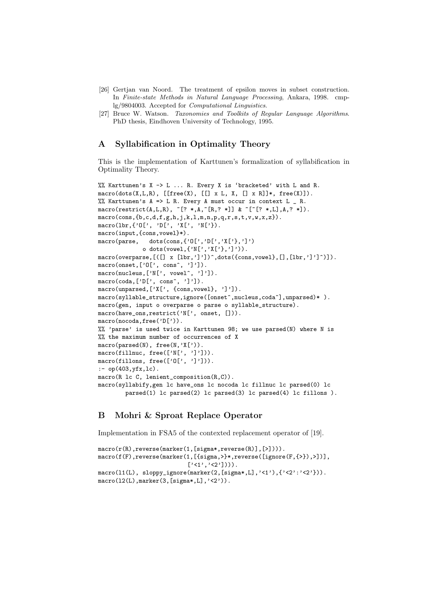- [26] Gertjan van Noord. The treatment of epsilon moves in subset construction. In Finite-state Methods in Natural Language Processing, Ankara, 1998. cmplg/9804003. Accepted for Computational Linguistics.
- [27] Bruce W. Watson. Taxonomies and Toolkits of Regular Language Algorithms. PhD thesis, Eindhoven University of Technology, 1995.

# A Syllabification in Optimality Theory

This is the implementation of Karttunen's formalization of syllabification in Optimality Theory.

```
%% Karttunen's X -> L ... R. Every X is 'bracketed' with L and R.
macro(dots(X,L,R), [[free(X), [[] x L, X, [] x R]]*, free(X)]).
%% Karttunen's A => L R. Every A must occur in context L _ R.
\texttt{macro}(\texttt{restrict}(A, L, R), \texttt{``[? *, A, ``[R, ? *]] } \& \texttt{``['['', *, L], A, ? *]}).macro(cons,{b,c,d,f,g,h,j,k,l,m,n,p,q,r,s,t,v,w,x,z}).
macro(lbr,{'O[', 'D[', 'X[', 'N['}).
macro(input,{cons,vowel}*).
macro(parse, dots(cons,{'O[','D[','X['},']')
              o dots(vowel,\{N['', 'X['', '']')).
macro(overparse,[([] x [lbr, ']')]^{\hat{ }},dots({cons,vowel},[] , [lbr, ']']^{\hat{ }})]).
macro(onset,['0[', cons^, ']']).
macro(nucleus,['N[', vowel^, ']']).
macro(coda,['D[', cons<sup>o</sup>, ']']).
macro(unparsed,['X[', {cons,vowel}, ']']).
macro(syllable_structure,ignore([onset^,nucleus,coda^],unparsed)* ).
macro(gen, input o overparse o parse o syllable_structure).
macro(have_ons,restrict('N[', onset, [])).
macro(nocoda,free('D[')).
%% 'parse' is used twice in Karttunen 98; we use parsed(N) where N is
%% the maximum number of occurrences of X
macro(parsed(N), free(N,'X[')).
macro(fillnuc, free(['N[', ']'])).
macro(fillons, free(['O[', ']'])).
:- op(403,yfx,lc).
macro(R lc C, lenient_composition(R,C)).
macro(syllabify,gen lc have_ons lc nocoda lc fillnuc lc parsed(0) lc
        parsed(1) lc parsed(2) lc parsed(3) lc parsed(4) lc fillons ).
```
# B Mohri & Sproat Replace Operator

Implementation in FSA5 of the contexted replacement operator of [19].

```
macro(r(R),reverse(marker(1,[sigma*,reverse(R)],[>]))).
macro(f(F),reverse(marker(1,[{sigma,>}*,reverse([ignore(F,{>}),>])],
                               [\cdot\langle 1',\cdot\langle 2'\end{bmatrix})\rangle .
macro(l1(L), sloppy_ignore(marker(2,[sigma*,L],'<1'),{'<2':'<2'})).
macro(12(L), marker(3,[sigma*,L], '2')).
```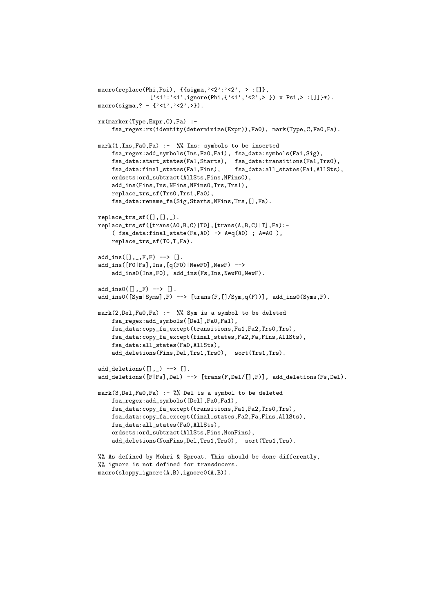```
macro(replace(Phi,Psi), {{sigma,'<2':'<2', > :[]},
                ['<1':'<1',ignore(Phi,{'<1','<2',> }) x Psi,> :[]]}*).
macro(sigma,? - {'<1','<2',>}).
rx(marker(Type,Expr,C),Fa) :-
    fsa_regex:rx(identity(determinize(Expr)),Fa0), mark(Type,C,Fa0,Fa).
mark(1,Ins,Fa0,Fa) :- %% Ins: symbols to be inserted
    fsa_regex:add_symbols(Ins,Fa0,Fa1), fsa_data:symbols(Fa1,Sig),
    fsa_data:start_states(Fa1,Starts), fsa_data:transitions(Fa1,Trs0),
    fsa_data:final_states(Fa1,Fins), fsa_data:all_states(Fa1,AllSts),
    ordsets:ord_subtract(AllSts,Fins,NFins0),
    add_ins(Fins,Ins,NFins,NFins0,Trs,Trs1),
    replace_trs_sf(Trs0,Trs1,Fa0),
    fsa_data:rename_fa(Sig,Starts,NFins,Trs,[],Fa).
replace\_trs\_sf([],[]_{,\_}).
replace_trs_sf([trans(A0,B,C)|T0],[trans(A,B,C)|T],Fa):-
    (fsa_data:final\_state(Fa, A0) \rightarrow A=q(A0); A=AO),
    replace_trs_sf(T0,T,Fa).
add_{\text{in}}([],_{\text{in}},F,F) --> [].
add_ins([F0|Fs],Ins,[q(F0)|NewF0],NewF) -->
    add_ins0(Ins,F0), add_ins(Fs,Ins,NewF0,NewF).
add_ins0([],_F) --> [].
add\_ins0([Sym|Syms], F) \longrightarrow [trans(F, []/Sym, q(F))], add\_ins0(Syms, F).mark(2,Del,Fa0,Fa) :- %% Sym is a symbol to be deleted
    fsa_regex:add_symbols([Del],Fa0,Fa1),
    fsa_data:copy_fa_except(transitions,Fa1,Fa2,Trs0,Trs),
    fsa_data:copy_fa_except(final_states,Fa2,Fa,Fins,AllSts),
    fsa_data:all_states(Fa0,AllSts),
    add_deletions(Fins,Del,Trs1,Trs0), sort(Trs1,Trs).
add\_deletions([], _{\_}) \longrightarrow [].
add_deletions([F|Fs],Del) --> [trans(F,Del/[],F)], add_deletions(Fs,Del).
mark(3,Del,Fa0,Fa) :- %% Del is a symbol to be deleted
    fsa_regex:add_symbols([Del],Fa0,Fa1),
    fsa_data:copy_fa_except(transitions,Fa1,Fa2,Trs0,Trs),
    fsa_data:copy_fa_except(final_states,Fa2,Fa,Fins,AllSts),
    fsa_data:all_states(Fa0,AllSts),
    ordsets:ord_subtract(AllSts,Fins,NonFins),
    add_deletions(NonFins,Del,Trs1,Trs0), sort(Trs1,Trs).
%% As defined by Mohri & Sproat. This should be done differently,
%% ignore is not defined for transducers.
```

```
macro(sloppy_ignore(A,B),ignore0(A,B)).
```